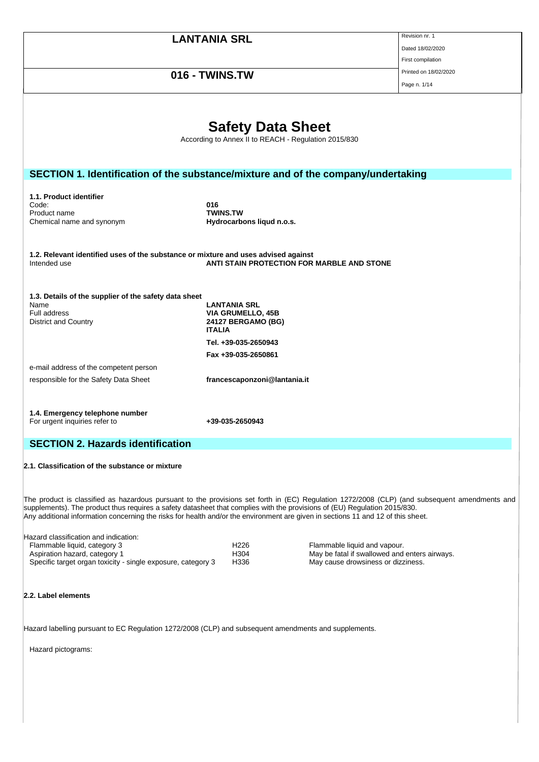|                                                                                                                                                                                                                                                                                                                                                                                                                |                                                                                  |                                                                                     | Revision nr. 1        |
|----------------------------------------------------------------------------------------------------------------------------------------------------------------------------------------------------------------------------------------------------------------------------------------------------------------------------------------------------------------------------------------------------------------|----------------------------------------------------------------------------------|-------------------------------------------------------------------------------------|-----------------------|
|                                                                                                                                                                                                                                                                                                                                                                                                                | <b>LANTANIA SRL</b>                                                              |                                                                                     |                       |
|                                                                                                                                                                                                                                                                                                                                                                                                                |                                                                                  |                                                                                     | Dated 18/02/2020      |
|                                                                                                                                                                                                                                                                                                                                                                                                                | First compilation                                                                |                                                                                     |                       |
| 016 - TWINS.TW                                                                                                                                                                                                                                                                                                                                                                                                 |                                                                                  |                                                                                     | Printed on 18/02/2020 |
|                                                                                                                                                                                                                                                                                                                                                                                                                |                                                                                  |                                                                                     | Page n. 1/14          |
|                                                                                                                                                                                                                                                                                                                                                                                                                | <b>Safety Data Sheet</b><br>According to Annex II to REACH - Regulation 2015/830 |                                                                                     |                       |
|                                                                                                                                                                                                                                                                                                                                                                                                                |                                                                                  |                                                                                     |                       |
| SECTION 1. Identification of the substance/mixture and of the company/undertaking                                                                                                                                                                                                                                                                                                                              |                                                                                  |                                                                                     |                       |
|                                                                                                                                                                                                                                                                                                                                                                                                                |                                                                                  |                                                                                     |                       |
| 1.1. Product identifier<br>Code:                                                                                                                                                                                                                                                                                                                                                                               | 016                                                                              |                                                                                     |                       |
| Product name                                                                                                                                                                                                                                                                                                                                                                                                   | <b>TWINS.TW</b>                                                                  |                                                                                     |                       |
| Chemical name and synonym                                                                                                                                                                                                                                                                                                                                                                                      | Hydrocarbons liqud n.o.s.                                                        |                                                                                     |                       |
|                                                                                                                                                                                                                                                                                                                                                                                                                |                                                                                  |                                                                                     |                       |
| 1.2. Relevant identified uses of the substance or mixture and uses advised against<br>Intended use                                                                                                                                                                                                                                                                                                             |                                                                                  | ANTI STAIN PROTECTION FOR MARBLE AND STONE                                          |                       |
|                                                                                                                                                                                                                                                                                                                                                                                                                |                                                                                  |                                                                                     |                       |
| 1.3. Details of the supplier of the safety data sheet<br>Name                                                                                                                                                                                                                                                                                                                                                  | <b>LANTANIA SRL</b>                                                              |                                                                                     |                       |
| Full address                                                                                                                                                                                                                                                                                                                                                                                                   | <b>VIA GRUMELLO, 45B</b>                                                         |                                                                                     |                       |
| <b>District and Country</b>                                                                                                                                                                                                                                                                                                                                                                                    | 24127 BERGAMO (BG)                                                               |                                                                                     |                       |
|                                                                                                                                                                                                                                                                                                                                                                                                                | <b>ITALIA</b>                                                                    |                                                                                     |                       |
|                                                                                                                                                                                                                                                                                                                                                                                                                | Tel. +39-035-2650943                                                             |                                                                                     |                       |
|                                                                                                                                                                                                                                                                                                                                                                                                                | Fax +39-035-2650861                                                              |                                                                                     |                       |
| e-mail address of the competent person                                                                                                                                                                                                                                                                                                                                                                         |                                                                                  |                                                                                     |                       |
|                                                                                                                                                                                                                                                                                                                                                                                                                | francescaponzoni@lantania.it                                                     |                                                                                     |                       |
| responsible for the Safety Data Sheet                                                                                                                                                                                                                                                                                                                                                                          |                                                                                  |                                                                                     |                       |
|                                                                                                                                                                                                                                                                                                                                                                                                                |                                                                                  |                                                                                     |                       |
| 1.4. Emergency telephone number<br>For urgent inquiries refer to                                                                                                                                                                                                                                                                                                                                               | +39-035-2650943                                                                  |                                                                                     |                       |
| <b>SECTION 2. Hazards identification</b>                                                                                                                                                                                                                                                                                                                                                                       |                                                                                  |                                                                                     |                       |
| 2.1. Classification of the substance or mixture                                                                                                                                                                                                                                                                                                                                                                |                                                                                  |                                                                                     |                       |
| The product is classified as hazardous pursuant to the provisions set forth in (EC) Regulation 1272/2008 (CLP) (and subsequent amendments and<br>supplements). The product thus requires a safety datasheet that complies with the provisions of (EU) Regulation 2015/830.<br>Any additional information concerning the risks for health and/or the environment are given in sections 11 and 12 of this sheet. |                                                                                  |                                                                                     |                       |
| Hazard classification and indication:                                                                                                                                                                                                                                                                                                                                                                          |                                                                                  |                                                                                     |                       |
| Flammable liquid, category 3                                                                                                                                                                                                                                                                                                                                                                                   | H <sub>226</sub>                                                                 | Flammable liquid and vapour.                                                        |                       |
| Aspiration hazard, category 1<br>Specific target organ toxicity - single exposure, category 3                                                                                                                                                                                                                                                                                                                  | H304<br>H336                                                                     | May be fatal if swallowed and enters airways.<br>May cause drowsiness or dizziness. |                       |
|                                                                                                                                                                                                                                                                                                                                                                                                                |                                                                                  |                                                                                     |                       |
| 2.2. Label elements                                                                                                                                                                                                                                                                                                                                                                                            |                                                                                  |                                                                                     |                       |
| Hazard labelling pursuant to EC Regulation 1272/2008 (CLP) and subsequent amendments and supplements.                                                                                                                                                                                                                                                                                                          |                                                                                  |                                                                                     |                       |
|                                                                                                                                                                                                                                                                                                                                                                                                                |                                                                                  |                                                                                     |                       |
| Hazard pictograms:                                                                                                                                                                                                                                                                                                                                                                                             |                                                                                  |                                                                                     |                       |
|                                                                                                                                                                                                                                                                                                                                                                                                                |                                                                                  |                                                                                     |                       |

 $\mathbb{R}$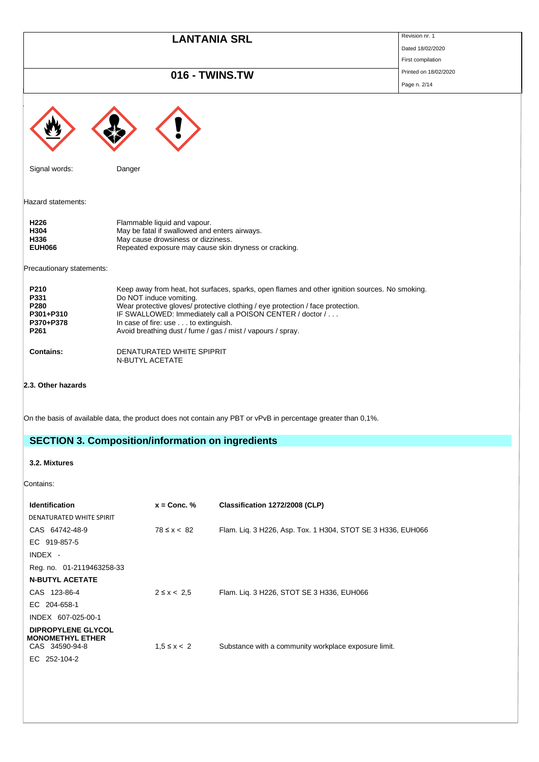|                                                        | <b>LANTANIA SRL</b>                                                                                                                                                                                                                                                                                                                                                             | Revision nr. 1        |
|--------------------------------------------------------|---------------------------------------------------------------------------------------------------------------------------------------------------------------------------------------------------------------------------------------------------------------------------------------------------------------------------------------------------------------------------------|-----------------------|
|                                                        |                                                                                                                                                                                                                                                                                                                                                                                 | Dated 18/02/2020      |
|                                                        |                                                                                                                                                                                                                                                                                                                                                                                 | First compilation     |
|                                                        | 016 - TWINS.TW                                                                                                                                                                                                                                                                                                                                                                  | Printed on 18/02/2020 |
|                                                        |                                                                                                                                                                                                                                                                                                                                                                                 | Page n. 2/14          |
|                                                        |                                                                                                                                                                                                                                                                                                                                                                                 |                       |
| Signal words:                                          | Danger                                                                                                                                                                                                                                                                                                                                                                          |                       |
| Hazard statements:                                     |                                                                                                                                                                                                                                                                                                                                                                                 |                       |
| H226<br>H304<br>H336<br><b>EUH066</b>                  | Flammable liquid and vapour.<br>May be fatal if swallowed and enters airways.<br>May cause drowsiness or dizziness.<br>Repeated exposure may cause skin dryness or cracking.                                                                                                                                                                                                    |                       |
| Precautionary statements:                              |                                                                                                                                                                                                                                                                                                                                                                                 |                       |
| P210<br>P331<br>P280<br>P301+P310<br>P370+P378<br>P261 | Keep away from heat, hot surfaces, sparks, open flames and other ignition sources. No smoking.<br>Do NOT induce vomiting.<br>Wear protective gloves/ protective clothing / eye protection / face protection.<br>IF SWALLOWED: Immediately call a POISON CENTER / doctor /<br>In case of fire: use to extinguish.<br>Avoid breathing dust / fume / gas / mist / vapours / spray. |                       |
| <b>Contains:</b>                                       | DENATURATED WHITE SPIPRIT<br>N-BUTYL ACETATE                                                                                                                                                                                                                                                                                                                                    |                       |
| 2.3. Other hazards                                     |                                                                                                                                                                                                                                                                                                                                                                                 |                       |
|                                                        | On the basis of available data, the product does not contain any PBT or vPvB in percentage greater than 0,1%.                                                                                                                                                                                                                                                                   |                       |
|                                                        | <b>SECTION 3. Composition/information on ingredients</b>                                                                                                                                                                                                                                                                                                                        |                       |
| 3.2. Mixtures                                          |                                                                                                                                                                                                                                                                                                                                                                                 |                       |
| Contains:                                              |                                                                                                                                                                                                                                                                                                                                                                                 |                       |

| <b>Identification</b>                         | $x =$ Conc. %   | Classification 1272/2008 (CLP)                              |
|-----------------------------------------------|-----------------|-------------------------------------------------------------|
| DENATURATED WHITE SPIRIT                      |                 |                                                             |
| CAS 64742-48-9                                | $78 \le x < 82$ | Flam. Lig. 3 H226, Asp. Tox. 1 H304, STOT SE 3 H336, EUH066 |
| EC 919-857-5                                  |                 |                                                             |
| $INDEX -$                                     |                 |                                                             |
| Reg. no. 01-2119463258-33                     |                 |                                                             |
| <b>N-BUTYL ACETATE</b>                        |                 |                                                             |
| CAS 123-86-4                                  | $2 \le x < 2.5$ | Flam. Liq. 3 H226, STOT SE 3 H336, EUH066                   |
| EC 204-658-1                                  |                 |                                                             |
| INDEX 607-025-00-1                            |                 |                                                             |
| DIPROPYLENE GLYCOL<br><b>MONOMETHYL ETHER</b> |                 |                                                             |
|                                               |                 |                                                             |
| EC 252-104-2                                  |                 |                                                             |
| CAS 34590-94-8                                | $1.5 \le x < 2$ | Substance with a community workplace exposure limit.        |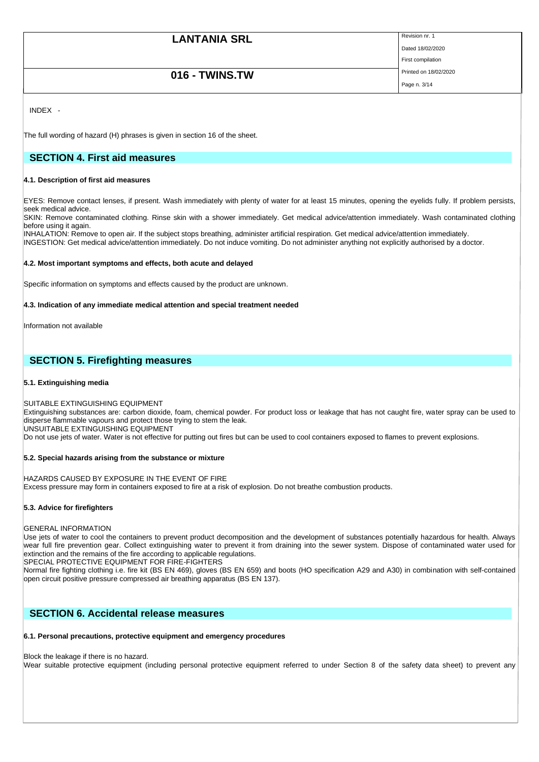Page n. 3/14

Dated 18/02/2020 First compilation

# **016 - TWINS.TW** Printed on 18/02/2020

INDEX -

The full wording of hazard (H) phrases is given in section 16 of the sheet.

# **SECTION 4. First aid measures**

### **4.1. Description of first aid measures**

EYES: Remove contact lenses, if present. Wash immediately with plenty of water for at least 15 minutes, opening the eyelids fully. If problem persists, seek medical advice.

SKIN: Remove contaminated clothing. Rinse skin with a shower immediately. Get medical advice/attention immediately. Wash contaminated clothing before using it again.

INHALATION: Remove to open air. If the subject stops breathing, administer artificial respiration. Get medical advice/attention immediately.

INGESTION: Get medical advice/attention immediately. Do not induce vomiting. Do not administer anything not explicitly authorised by a doctor.

### **4.2. Most important symptoms and effects, both acute and delayed**

Specific information on symptoms and effects caused by the product are unknown.

# **4.3. Indication of any immediate medical attention and special treatment needed**

Information not available

# **SECTION 5. Firefighting measures**

### **5.1. Extinguishing media**

SUITABLE EXTINGUISHING EQUIPMENT

Extinguishing substances are: carbon dioxide, foam, chemical powder. For product loss or leakage that has not caught fire, water spray can be used to disperse flammable vapours and protect those trying to stem the leak.

UNSUITABLE EXTINGUISHING EQUIPMENT

Do not use jets of water. Water is not effective for putting out fires but can be used to cool containers exposed to flames to prevent explosions.

### **5.2. Special hazards arising from the substance or mixture**

HAZARDS CAUSED BY EXPOSURE IN THE EVENT OF FIRE Excess pressure may form in containers exposed to fire at a risk of explosion. Do not breathe combustion products.

### **5.3. Advice for firefighters**

### GENERAL INFORMATION

Use jets of water to cool the containers to prevent product decomposition and the development of substances potentially hazardous for health. Always wear full fire prevention gear. Collect extinguishing water to prevent it from draining into the sewer system. Dispose of contaminated water used for extinction and the remains of the fire according to applicable regulations.

SPECIAL PROTECTIVE EQUIPMENT FOR FIRE-FIGHTERS

Normal fire fighting clothing i.e. fire kit (BS EN 469), gloves (BS EN 659) and boots (HO specification A29 and A30) in combination with self-contained open circuit positive pressure compressed air breathing apparatus (BS EN 137).

# **SECTION 6. Accidental release measures**

# **6.1. Personal precautions, protective equipment and emergency procedures**

# Block the leakage if there is no hazard.

Wear suitable protective equipment (including personal protective equipment referred to under Section 8 of the safety data sheet) to prevent any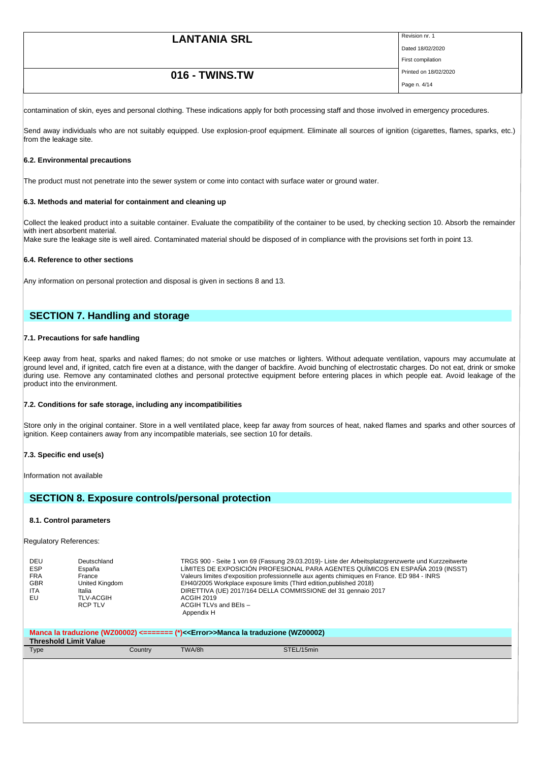# **LANTANIA SRL** Revision nr. 1 Dated 18/02/2020 First compilation **016 - TWINS.TW** Printed on 18/02/2020 Page n. 4/14

contamination of skin, eyes and personal clothing. These indications apply for both processing staff and those involved in emergency procedures.

Send away individuals who are not suitably equipped. Use explosion-proof equipment. Eliminate all sources of ignition (cigarettes, flames, sparks, etc.) from the leakage site.

### **6.2. Environmental precautions**

The product must not penetrate into the sewer system or come into contact with surface water or ground water.

### **6.3. Methods and material for containment and cleaning up**

Collect the leaked product into a suitable container. Evaluate the compatibility of the container to be used, by checking section 10. Absorb the remainder with inert absorbent material. Make sure the leakage site is well aired. Contaminated material should be disposed of in compliance with the provisions set forth in point 13.

#### **6.4. Reference to other sections**

Any information on personal protection and disposal is given in sections 8 and 13.

# **SECTION 7. Handling and storage**

#### **7.1. Precautions for safe handling**

Keep away from heat, sparks and naked flames; do not smoke or use matches or lighters. Without adequate ventilation, vapours may accumulate at ground level and, if ignited, catch fire even at a distance, with the danger of backfire. Avoid bunching of electrostatic charges. Do not eat, drink or smoke during use. Remove any contaminated clothes and personal protective equipment before entering places in which people eat. Avoid leakage of the product into the environment.

#### **7.2. Conditions for safe storage, including any incompatibilities**

Store only in the original container. Store in a well ventilated place, keep far away from sources of heat, naked flames and sparks and other sources of ignition. Keep containers away from any incompatible materials, see section 10 for details.

#### **7.3. Specific end use(s)**

Information not available

# **SECTION 8. Exposure controls/personal protection**

#### **8.1. Control parameters**

Regulatory References:

| DEU        | Deutschland      | TRGS 900 - Seite 1 von 69 (Fassung 29.03.2019)- Liste der Arbeitsplatzgrenzwerte und Kurzzeitwerte |
|------------|------------------|----------------------------------------------------------------------------------------------------|
| <b>ESP</b> | España           | LÍMITES DE EXPOSICIÓN PROFESIONAL PARA AGENTES QUÍMICOS EN ESPAÑA 2019 (INSST)                     |
| <b>FRA</b> | France           | Valeurs limites d'exposition professionnelle aux agents chimiques en France. ED 984 - INRS         |
| <b>GBR</b> | United Kingdom   | EH40/2005 Workplace exposure limits (Third edition, published 2018)                                |
| <b>ITA</b> | Italia           | DIRETTIVA (UE) 2017/164 DELLA COMMISSIONE del 31 gennaio 2017                                      |
| EU         | <b>TLV-ACGIH</b> | ACGIH 2019                                                                                         |
|            | <b>RCP TLV</b>   | ACGIH TLVs and BEIs -<br>Appendix H                                                                |

| Manca la traduzione (WZ00002) <======= (*)< <error>&gt;Manca la traduzione (WZ00002)</error> |         |        |            |  |
|----------------------------------------------------------------------------------------------|---------|--------|------------|--|
| <b>Threshold Limit Value</b>                                                                 |         |        |            |  |
| Type                                                                                         | Country | TWA/8h | STEL/15min |  |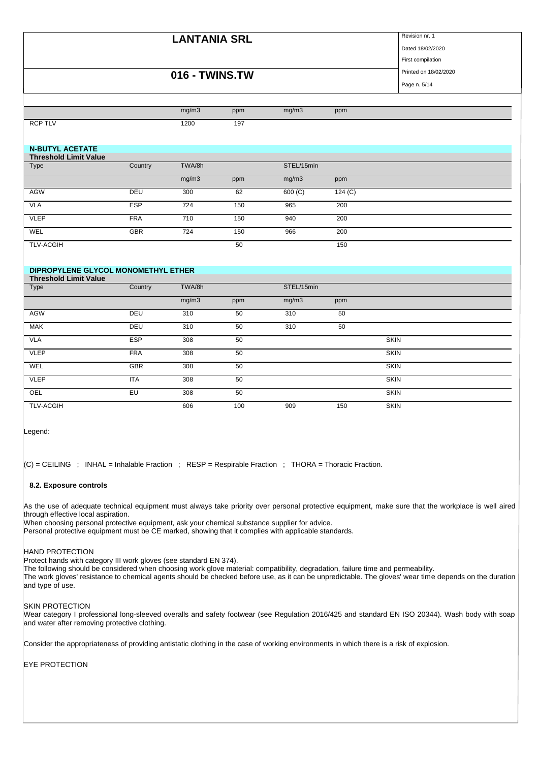Dated 18/02/2020

# **016 - TWINS.TW** Printed on 18/02/2020

First compilation

Page n. 5/14

|                              |                                     | mg/m3  | ppm | mg/m3      | ppm     |  |  |
|------------------------------|-------------------------------------|--------|-----|------------|---------|--|--|
| <b>RCP TLV</b>               |                                     | 1200   | 197 |            |         |  |  |
|                              |                                     |        |     |            |         |  |  |
| <b>N-BUTYL ACETATE</b>       |                                     |        |     |            |         |  |  |
| <b>Threshold Limit Value</b> |                                     |        |     |            |         |  |  |
| Type                         | Country                             | TWA/8h |     | STEL/15min |         |  |  |
|                              |                                     | mg/m3  | ppm | mg/m3      | ppm     |  |  |
| AGW                          | DEU                                 | 300    | 62  | 600 (C)    | 124 (C) |  |  |
| <b>VLA</b>                   | <b>ESP</b>                          | 724    | 150 | 965        | 200     |  |  |
| <b>VLEP</b>                  | <b>FRA</b>                          | 710    | 150 | 940        | 200     |  |  |
| WEL                          | <b>GBR</b>                          | 724    | 150 | 966        | 200     |  |  |
| <b>TLV-ACGIH</b>             |                                     |        | 50  |            | 150     |  |  |
|                              |                                     |        |     |            |         |  |  |
|                              | DIPROPYLENE GLYCOL MONOMETHYL ETHER |        |     |            |         |  |  |
| <b>Threshold Limit Value</b> |                                     |        |     |            |         |  |  |

| Type             | Country    | TWA/8h |     | STEL/15min |     |             |
|------------------|------------|--------|-----|------------|-----|-------------|
|                  |            | mg/m3  | ppm | mg/m3      | ppm |             |
| <b>AGW</b>       | DEU        | 310    | 50  | 310        | 50  |             |
| <b>MAK</b>       | DEU        | 310    | 50  | 310        | 50  |             |
| <b>VLA</b>       | <b>ESP</b> | 308    | 50  |            |     | <b>SKIN</b> |
| <b>VLEP</b>      | <b>FRA</b> | 308    | 50  |            |     | <b>SKIN</b> |
| WEL              | <b>GBR</b> | 308    | 50  |            |     | <b>SKIN</b> |
| <b>VLEP</b>      | <b>ITA</b> | 308    | 50  |            |     | <b>SKIN</b> |
| OEL              | EU         | 308    | 50  |            |     | <b>SKIN</b> |
| <b>TLV-ACGIH</b> |            | 606    | 100 | 909        | 150 | <b>SKIN</b> |

Legend:

 $|C|$  = CEILING ; INHAL = Inhalable Fraction ; RESP = Respirable Fraction ; THORA = Thoracic Fraction.

# **8.2. Exposure controls**

As the use of adequate technical equipment must always take priority over personal protective equipment, make sure that the workplace is well aired through effective local aspiration.

When choosing personal protective equipment, ask your chemical substance supplier for advice. Personal protective equipment must be CE marked, showing that it complies with applicable standards.

### HAND PROTECTION

Protect hands with category III work gloves (see standard EN 374).

The following should be considered when choosing work glove material: compatibility, degradation, failure time and permeability. The work gloves' resistance to chemical agents should be checked before use, as it can be unpredictable. The gloves' wear time depends on the duration and type of use.

#### SKIN PROTECTION

Wear category I professional long-sleeved overalls and safety footwear (see Regulation 2016/425 and standard EN ISO 20344). Wash body with soap and water after removing protective clothing.

Consider the appropriateness of providing antistatic clothing in the case of working environments in which there is a risk of explosion.

EYE PROTECTION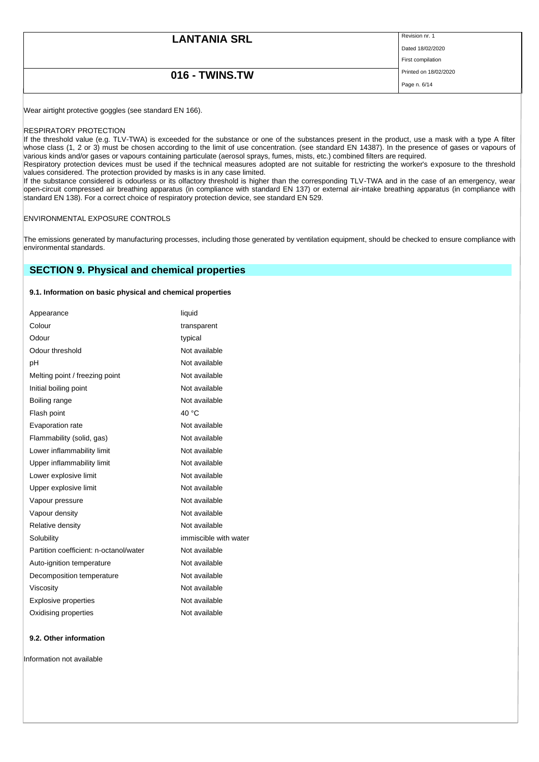| <b>LANTANIA SRL</b> | Revision nr. 1        |
|---------------------|-----------------------|
|                     | Dated 18/02/2020      |
|                     | First compilation     |
| 016 - TWINS.TW      | Printed on 18/02/2020 |
|                     | Page n. 6/14          |
|                     |                       |

Wear airtight protective goggles (see standard EN 166).

#### RESPIRATORY PROTECTION

If the threshold value (e.g. TLV-TWA) is exceeded for the substance or one of the substances present in the product, use a mask with a type A filter whose class (1, 2 or 3) must be chosen according to the limit of use concentration. (see standard EN 14387). In the presence of gases or vapours of various kinds and/or gases or vapours containing particulate (aerosol sprays, fumes, mists, etc.) combined filters are required.

Respiratory protection devices must be used if the technical measures adopted are not suitable for restricting the worker's exposure to the threshold values considered. The protection provided by masks is in any case limited.

If the substance considered is odourless or its olfactory threshold is higher than the corresponding TLV-TWA and in the case of an emergency, wear open-circuit compressed air breathing apparatus (in compliance with standard EN 137) or external air-intake breathing apparatus (in compliance with standard EN 138). For a correct choice of respiratory protection device, see standard EN 529.

#### ENVIRONMENTAL EXPOSURE CONTROLS

The emissions generated by manufacturing processes, including those generated by ventilation equipment, should be checked to ensure compliance with environmental standards.

# **SECTION 9. Physical and chemical properties**

### **9.1. Information on basic physical and chemical properties**

| Appearance                             | liquid                |
|----------------------------------------|-----------------------|
| Colour                                 | transparent           |
| Odour                                  | typical               |
| Odour threshold                        | Not available         |
| рH                                     | Not available         |
| Melting point / freezing point         | Not available         |
| Initial boiling point                  | Not available         |
| Boiling range                          | Not available         |
| Flash point                            | 40 $^{\circ}$ C       |
| Evaporation rate                       | Not available         |
| Flammability (solid, gas)              | Not available         |
| Lower inflammability limit             | Not available         |
| Upper inflammability limit             | Not available         |
| Lower explosive limit                  | Not available         |
| Upper explosive limit                  | Not available         |
| Vapour pressure                        | Not available         |
| Vapour density                         | Not available         |
| Relative density                       | Not available         |
| Solubility                             | immiscible with water |
| Partition coefficient: n-octanol/water | Not available         |
| Auto-ignition temperature              | Not available         |
| Decomposition temperature              | Not available         |
| Viscosity                              | Not available         |
| <b>Explosive properties</b>            | Not available         |
| Oxidising properties                   | Not available         |

#### **9.2. Other information**

Information not available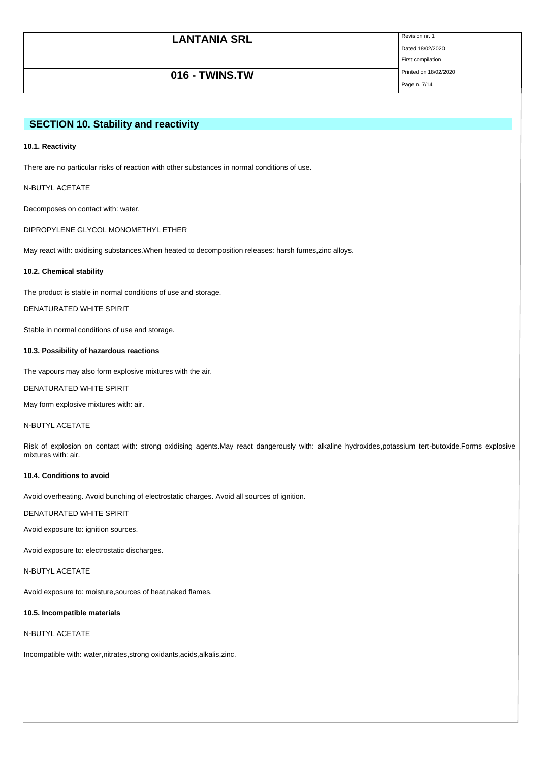| <b>LANTANIA SRL</b> | Revision nr. 1        |
|---------------------|-----------------------|
|                     | Dated 18/02/2020      |
|                     | First compilation     |
| 016 - TWINS.TW      | Printed on 18/02/2020 |
|                     | Page n. 7/14          |

# **SECTION 10. Stability and reactivity**

#### **10.1. Reactivity**

There are no particular risks of reaction with other substances in normal conditions of use.

### N-BUTYL ACETATE

Decomposes on contact with: water.

DIPROPYLENE GLYCOL MONOMETHYL ETHER

May react with: oxidising substances.When heated to decomposition releases: harsh fumes,zinc alloys.

#### **10.2. Chemical stability**

The product is stable in normal conditions of use and storage.

DENATURATED WHITE SPIRIT

Stable in normal conditions of use and storage.

# **10.3. Possibility of hazardous reactions**

The vapours may also form explosive mixtures with the air.

DENATURATED WHITE SPIRIT

May form explosive mixtures with: air.

### N-BUTYL ACETATE

Risk of explosion on contact with: strong oxidising agents.May react dangerously with: alkaline hydroxides,potassium tert-butoxide.Forms explosive mixtures with: air.

# **10.4. Conditions to avoid**

Avoid overheating. Avoid bunching of electrostatic charges. Avoid all sources of ignition.

#### DENATURATED WHITE SPIRIT

Avoid exposure to: ignition sources.

Avoid exposure to: electrostatic discharges.

N-BUTYL ACETATE

Avoid exposure to: moisture,sources of heat,naked flames.

# **10.5. Incompatible materials**

```
N-BUTYL ACETATE
```
Incompatible with: water,nitrates,strong oxidants,acids,alkalis,zinc.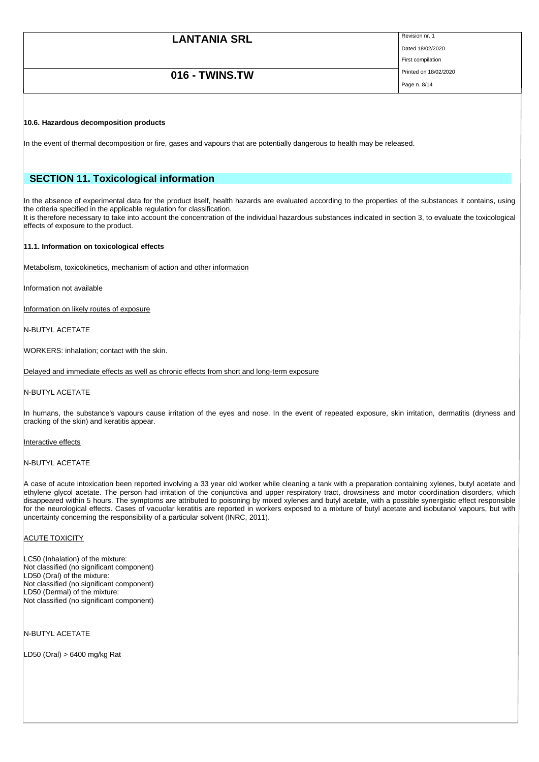# **LANTANIA SRL** Revision nr. 1 Dated 18/02/2020 First compilation **016 - TWINS.TW** Printed on 18/02/2020 Page n. 8/14

#### **10.6. Hazardous decomposition products**

In the event of thermal decomposition or fire, gases and vapours that are potentially dangerous to health may be released.

# **SECTION 11. Toxicological information**

In the absence of experimental data for the product itself, health hazards are evaluated according to the properties of the substances it contains, using the criteria specified in the applicable regulation for classification.

It is therefore necessary to take into account the concentration of the individual hazardous substances indicated in section 3, to evaluate the toxicological effects of exposure to the product.

#### **11.1. Information on toxicological effects**

Metabolism, toxicokinetics, mechanism of action and other information

Information not available

Information on likely routes of exposure

N-BUTYL ACETATE

WORKERS: inhalation; contact with the skin.

Delayed and immediate effects as well as chronic effects from short and long-term exposure

N-BUTYL ACETATE

In humans, the substance's vapours cause irritation of the eyes and nose. In the event of repeated exposure, skin irritation, dermatitis (dryness and cracking of the skin) and keratitis appear.

Interactive effects

#### N-BUTYL ACETATE

A case of acute intoxication been reported involving a 33 year old worker while cleaning a tank with a preparation containing xylenes, butyl acetate and ethylene glycol acetate. The person had irritation of the conjunctiva and upper respiratory tract, drowsiness and motor coordination disorders, which disappeared within 5 hours. The symptoms are attributed to poisoning by mixed xylenes and butyl acetate, with a possible synergistic effect responsible for the neurological effects. Cases of vacuolar keratitis are reported in workers exposed to a mixture of butyl acetate and isobutanol vapours, but with uncertainty concerning the responsibility of a particular solvent (INRC, 2011).

#### **ACUTE TOXICITY**

LC50 (Inhalation) of the mixture: Not classified (no significant component) LD50 (Oral) of the mixture: Not classified (no significant component) LD50 (Dermal) of the mixture: Not classified (no significant component)

N-BUTYL ACETATE

LD50 (Oral) > 6400 mg/kg Rat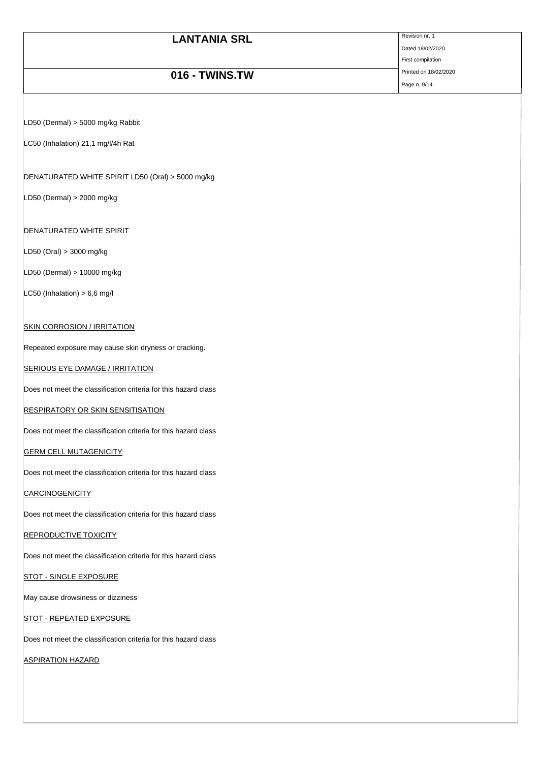| <b>LANTANIA SRL</b> | Revision nr. 1        |
|---------------------|-----------------------|
|                     | Dated 18/02/2020      |
|                     | First compilation     |
| 016 - TWINS.TW      | Printed on 18/02/2020 |
|                     | Page n. 9/14          |

LD50 (Dermal) > 5000 mg/kg Rabbit

LC50 (Inhalation) 21,1 mg/l/4h Rat

DENATURATED WHITE SPIRIT LD50 (Oral) > 5000 mg/kg

LD50 (Dermal) > 2000 mg/kg

DENATURATED WHITE SPIRIT

LD50 (Oral) > 3000 mg/kg

LD50 (Dermal) > 10000 mg/kg

 $LC50$  (Inhalation) > 6,6 mg/l

# **SKIN CORROSION / IRRITATION**

Repeated exposure may cause skin dryness or cracking.

# **SERIOUS EYE DAMAGE / IRRITATION**

Does not meet the classification criteria for this hazard class

# **RESPIRATORY OR SKIN SENSITISATION**

Does not meet the classification criteria for this hazard class

### **GERM CELL MUTAGENICITY**

Does not meet the classification criteria for this hazard class

**CARCINOGENICITY** 

Does not meet the classification criteria for this hazard class

### **REPRODUCTIVE TOXICITY**

Does not meet the classification criteria for this hazard class

### **STOT - SINGLE EXPOSURE**

May cause drowsiness or dizziness

# STOT - REPEATED EXPOSURE

Does not meet the classification criteria for this hazard class

ASPIRATION HAZARD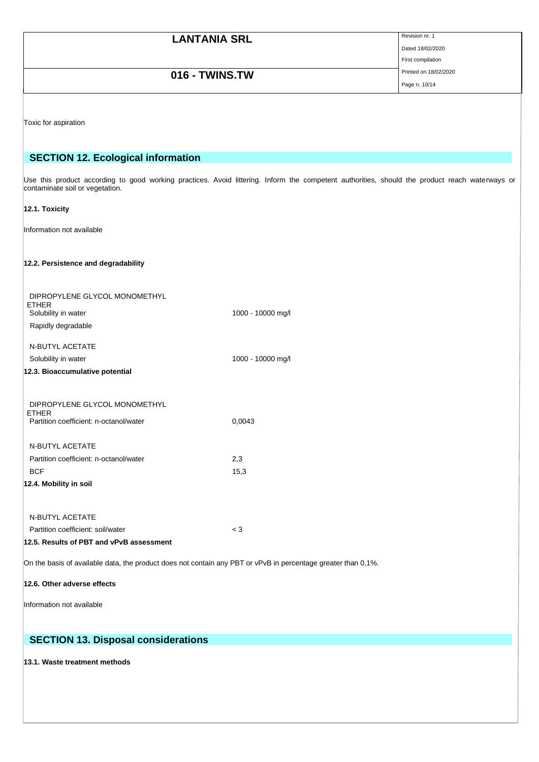| <b>LANTANIA SRL</b> | Revision nr. 1        |
|---------------------|-----------------------|
|                     | Dated 18/02/2020      |
|                     | First compilation     |
| 016 - TWINS.TW      | Printed on 18/02/2020 |
|                     | Page n. 10/14         |

Toxic for aspiration

# **SECTION 12. Ecological information**

Use this product according to good working practices. Avoid littering. Inform the competent authorities, should the product reach waterways or contaminate soil or vegetation.

# **12.1. Toxicity**

Information not available

# **12.2. Persistence and degradability**

| DIPROPYLENE GLYCOL MONOMETHYL<br><b>ETHER</b>          |                   |
|--------------------------------------------------------|-------------------|
| Solubility in water                                    | 1000 - 10000 mg/l |
| Rapidly degradable                                     |                   |
| <b>N-BUTYL ACETATE</b>                                 |                   |
| Solubility in water                                    | 1000 - 10000 mg/l |
| 12.3. Bioaccumulative potential                        |                   |
|                                                        |                   |
| DIPROPYLENE GLYCOL MONOMETHYL                          |                   |
| <b>ETHER</b><br>Partition coefficient: n-octanol/water | 0,0043            |
|                                                        |                   |
| <b>N-BUTYL ACETATE</b>                                 |                   |
| Partition coefficient: n-octanol/water                 | 2,3               |
| <b>BCF</b>                                             | 15,3              |
| 12.4. Mobility in soil                                 |                   |
|                                                        |                   |
| <b>N-BUTYL ACETATE</b>                                 |                   |
| Partition coefficient: soil/water                      | $\leq 3$          |
| 12.5. Results of PBT and vPvB assessment               |                   |

On the basis of available data, the product does not contain any PBT or vPvB in percentage greater than 0,1%.

#### **12.6. Other adverse effects**

Information not available

# **SECTION 13. Disposal considerations**

**13.1. Waste treatment methods**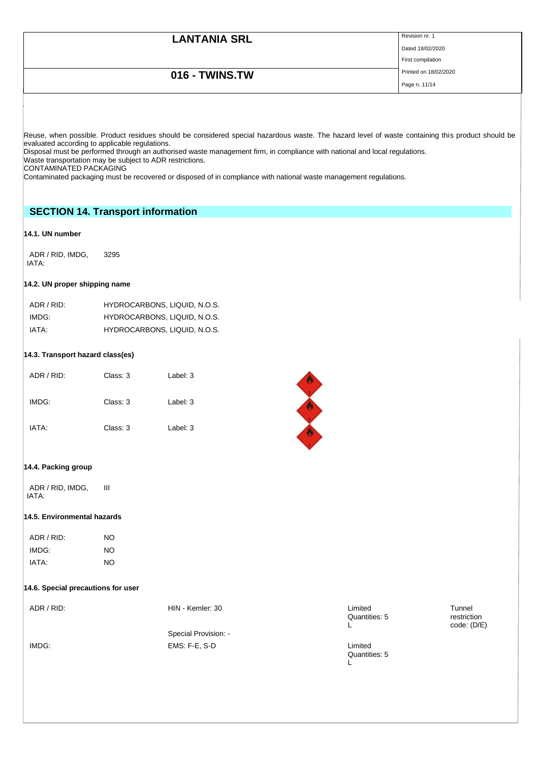Dated 18/02/2020 First compilation

# **016 - TWINS.TW** Printed on 18/02/2020

Page n. 11/14

Reuse, when possible. Product residues should be considered special hazardous waste. The hazard level of waste containing this product should be evaluated according to applicable regulations.

Disposal must be performed through an authorised waste management firm, in compliance with national and local regulations. Waste transportation may be subject to ADR restrictions.

CONTAMINATED PACKAGING

Contaminated packaging must be recovered or disposed of in compliance with national waste management regulations.

# **SECTION 14. Transport information**

# **14.1. UN number**

ADR / RID, IMDG, IATA: 3295

# **14.2. UN proper shipping name**

| ADR / RID: | HYDROCARBONS, LIQUID, N.O.S. |
|------------|------------------------------|
| IMDG:      | HYDROCARBONS, LIQUID, N.O.S. |
| IATA:      | HYDROCARBONS, LIQUID, N.O.S. |

### **14.3. Transport hazard class(es)**

| ADR / RID: | Class: 3 | Label: 3 |
|------------|----------|----------|
| IMDG:      | Class: 3 | Label: 3 |
| IATA:      | Class: 3 | Label: 3 |



### **14.4. Packing group**

ADR / RID, IMDG, IATA: III

#### **14.5. Environmental hazards**

| ADR / RID: | NΟ |
|------------|----|
| IMDG:      | NΟ |
| IATA:      | NΟ |

### **14.6. Special precautions for user**

| ADR / RID: | HIN - Kemler: 30<br>Special Provision: - | Limited<br>Quantities: 5<br>− | Tunnel<br>restriction<br>code: (D/E) |
|------------|------------------------------------------|-------------------------------|--------------------------------------|
| IMDG:      | EMS: F-E, S-D                            | Limited<br>Quantities: 5      |                                      |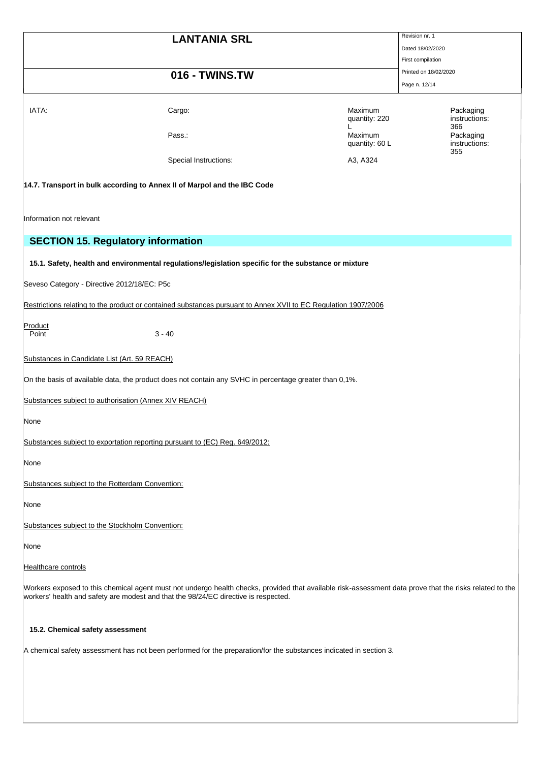|                                                 |                                                                                                                                                                                                                                                |                           | Revision nr. 1                           |
|-------------------------------------------------|------------------------------------------------------------------------------------------------------------------------------------------------------------------------------------------------------------------------------------------------|---------------------------|------------------------------------------|
|                                                 | <b>LANTANIA SRL</b>                                                                                                                                                                                                                            |                           | Dated 18/02/2020                         |
|                                                 |                                                                                                                                                                                                                                                |                           |                                          |
|                                                 |                                                                                                                                                                                                                                                |                           | First compilation                        |
|                                                 | 016 - TWINS.TW                                                                                                                                                                                                                                 |                           | Printed on 18/02/2020                    |
|                                                 |                                                                                                                                                                                                                                                |                           | Page n. 12/14                            |
| IATA:                                           | Cargo:                                                                                                                                                                                                                                         | Maximum<br>quantity: 220  | Packaging<br>instructions:               |
|                                                 | Pass.:                                                                                                                                                                                                                                         | Maximum<br>quantity: 60 L | 366<br>Packaging<br>instructions:<br>355 |
|                                                 | Special Instructions:                                                                                                                                                                                                                          | A3, A324                  |                                          |
|                                                 | 14.7. Transport in bulk according to Annex II of Marpol and the IBC Code                                                                                                                                                                       |                           |                                          |
| Information not relevant                        |                                                                                                                                                                                                                                                |                           |                                          |
|                                                 | <b>SECTION 15. Regulatory information</b>                                                                                                                                                                                                      |                           |                                          |
|                                                 |                                                                                                                                                                                                                                                |                           |                                          |
|                                                 | 15.1. Safety, health and environmental regulations/legislation specific for the substance or mixture                                                                                                                                           |                           |                                          |
|                                                 |                                                                                                                                                                                                                                                |                           |                                          |
| Seveso Category - Directive 2012/18/EC: P5c     |                                                                                                                                                                                                                                                |                           |                                          |
|                                                 |                                                                                                                                                                                                                                                |                           |                                          |
|                                                 | Restrictions relating to the product or contained substances pursuant to Annex XVII to EC Regulation 1907/2006                                                                                                                                 |                           |                                          |
| Product<br>Point                                | $3 - 40$                                                                                                                                                                                                                                       |                           |                                          |
| Substances in Candidate List (Art. 59 REACH)    |                                                                                                                                                                                                                                                |                           |                                          |
|                                                 | On the basis of available data, the product does not contain any SVHC in percentage greater than 0,1%.                                                                                                                                         |                           |                                          |
|                                                 | Substances subject to authorisation (Annex XIV REACH)                                                                                                                                                                                          |                           |                                          |
|                                                 |                                                                                                                                                                                                                                                |                           |                                          |
| None                                            |                                                                                                                                                                                                                                                |                           |                                          |
|                                                 | Substances subject to exportation reporting pursuant to (EC) Reg. 649/2012:                                                                                                                                                                    |                           |                                          |
| None                                            |                                                                                                                                                                                                                                                |                           |                                          |
| Substances subject to the Rotterdam Convention: |                                                                                                                                                                                                                                                |                           |                                          |
| None                                            |                                                                                                                                                                                                                                                |                           |                                          |
| Substances subject to the Stockholm Convention: |                                                                                                                                                                                                                                                |                           |                                          |
| None                                            |                                                                                                                                                                                                                                                |                           |                                          |
| Healthcare controls                             |                                                                                                                                                                                                                                                |                           |                                          |
|                                                 | Workers exposed to this chemical agent must not undergo health checks, provided that available risk-assessment data prove that the risks related to the<br>workers' health and safety are modest and that the 98/24/EC directive is respected. |                           |                                          |

# **15.2. Chemical safety assessment**

A chemical safety assessment has not been performed for the preparation/for the substances indicated in section 3.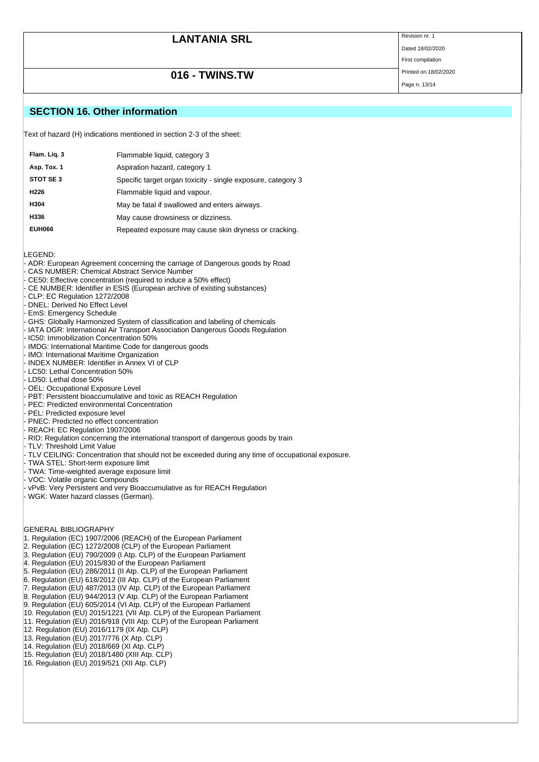Page n. 13/14

Dated 18/02/2020 First compilation

# **016 - TWINS.TW** Printed on 18/02/2020

**SECTION 16. Other information**

Text of hazard (H) indications mentioned in section 2-3 of the sheet:

| Flam. Liq. 3     | Flammable liquid, category 3                                 |
|------------------|--------------------------------------------------------------|
| Asp. Tox. 1      | Aspiration hazard, category 1                                |
| STOT SE3         | Specific target organ toxicity - single exposure, category 3 |
| H <sub>226</sub> | Flammable liquid and vapour.                                 |
| H304             | May be fatal if swallowed and enters airways.                |
| H336             | May cause drowsiness or dizziness.                           |
| <b>EUH066</b>    | Repeated exposure may cause skin dryness or cracking.        |

LEGEND:

- ADR: European Agreement concerning the carriage of Dangerous goods by Road
- CAS NUMBER: Chemical Abstract Service Number
- CE50: Effective concentration (required to induce a 50% effect)
- CE NUMBER: Identifier in ESIS (European archive of existing substances)
- CLP: EC Regulation 1272/2008
- DNEL: Derived No Effect Level
- EmS: Emergency Schedule
- GHS: Globally Harmonized System of classification and labeling of chemicals
- IATA DGR: International Air Transport Association Dangerous Goods Regulation
- IC50: Immobilization Concentration 50%
- IMDG: International Maritime Code for dangerous goods
- IMO: International Maritime Organization
- INDEX NUMBER: Identifier in Annex VI of CLP
- LC50: Lethal Concentration 50%
- LD50: Lethal dose 50%
- OEL: Occupational Exposure Level
- PBT: Persistent bioaccumulative and toxic as REACH Regulation
- PEC: Predicted environmental Concentration
- PEL: Predicted exposure level
- PNEC: Predicted no effect concentration
- REACH: EC Regulation 1907/2006
- RID: Regulation concerning the international transport of dangerous goods by train
- TLV: Threshold Limit Value
- TLV CEILING: Concentration that should not be exceeded during any time of occupational exposure.
- TWA STEL: Short-term exposure limit
- TWA: Time-weighted average exposure limit
- VOC: Volatile organic Compounds
- vPvB: Very Persistent and very Bioaccumulative as for REACH Regulation
- WGK: Water hazard classes (German).

#### GENERAL BIBLIOGRAPHY

- 1. Regulation (EC) 1907/2006 (REACH) of the European Parliament
- 2. Regulation (EC) 1272/2008 (CLP) of the European Parliament
- 3. Regulation (EU) 790/2009 (I Atp. CLP) of the European Parliament
- 4. Regulation (EU) 2015/830 of the European Parliament
- 5. Regulation (EU) 286/2011 (II Atp. CLP) of the European Parliament
- 6. Regulation (EU) 618/2012 (III Atp. CLP) of the European Parliament
- 7. Regulation (EU) 487/2013 (IV Atp. CLP) of the European Parliament
- 8. Regulation (EU) 944/2013 (V Atp. CLP) of the European Parliament
- 9. Regulation (EU) 605/2014 (VI Atp. CLP) of the European Parliament
- 10. Regulation (EU) 2015/1221 (VII Atp. CLP) of the European Parliament
- 11. Regulation (EU) 2016/918 (VIII Atp. CLP) of the European Parliament
- 12. Regulation (EU) 2016/1179 (IX Atp. CLP)
- 13. Regulation (EU) 2017/776 (X Atp. CLP)
- 14. Regulation (EU) 2018/669 (XI Atp. CLP)
- 15. Regulation (EU) 2018/1480 (XIII Atp. CLP)
- 16. Regulation (EU) 2019/521 (XII Atp. CLP)